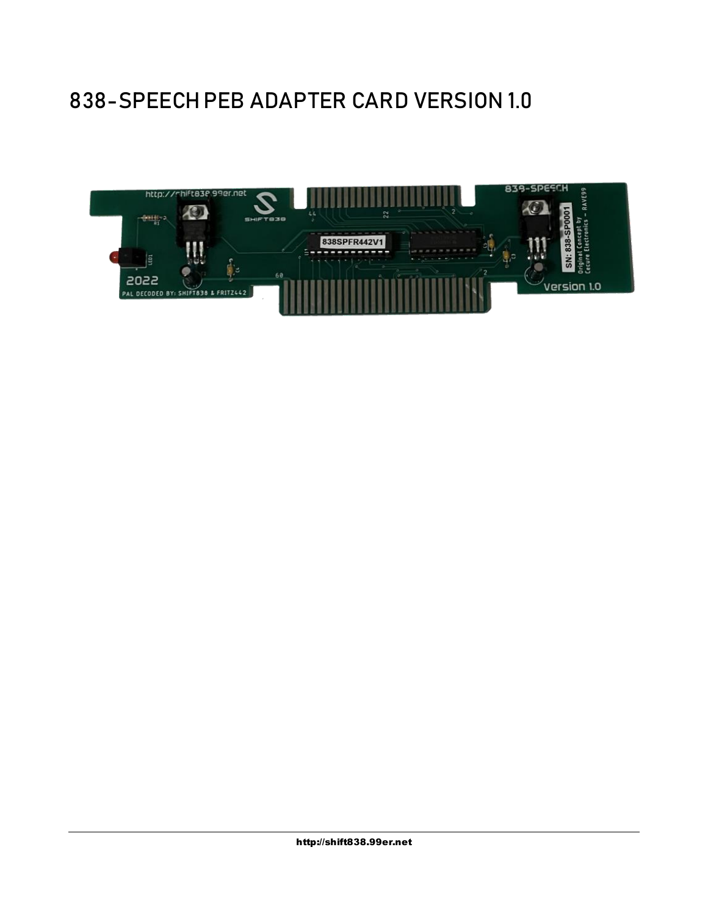### 838-SPEECH PEB ADAPTER CARD VERSION 1.0

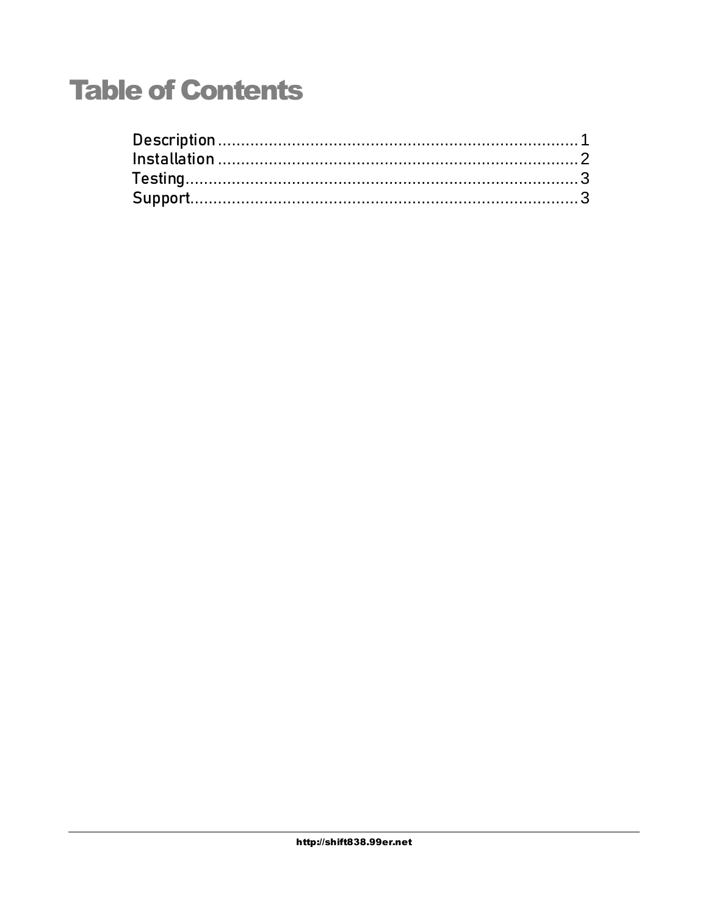# **Table of Contents**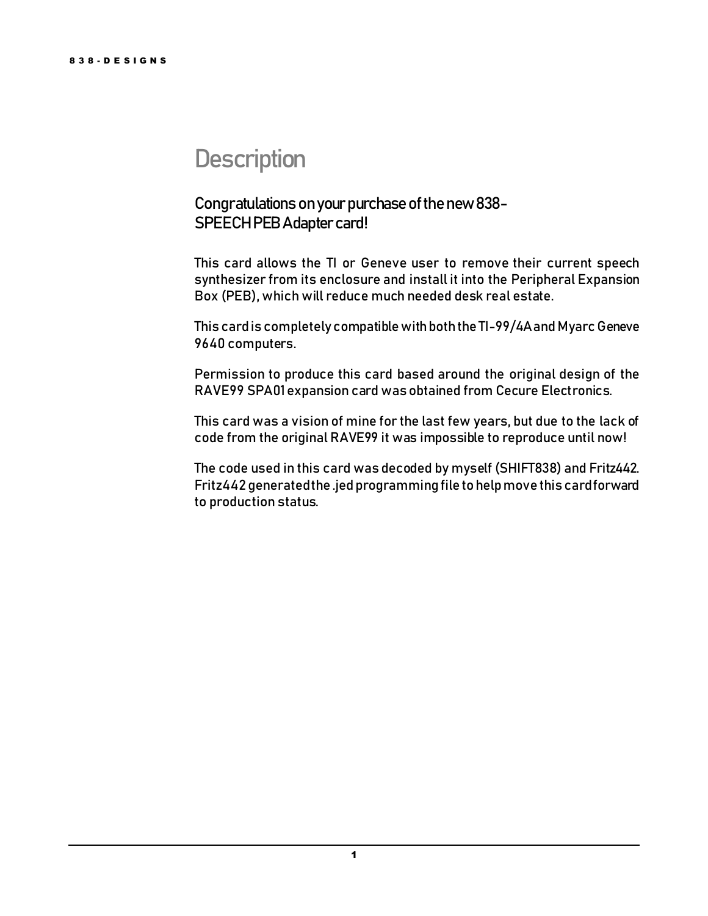### <span id="page-2-0"></span>**Description**

#### Congratulations on your purchase of the new 838-SPEECH PEB Adapter card!

This card allows the TI or Geneve user to remove their current speech synthesizer from its enclosure and install it into the Peripheral Expansion Box (PEB), which will reduce much needed desk real estate.

This card is completely compatiblewith both the TI-99/4A and Myarc Geneve 9640 computers.

Permission to produce this card based around the original design of the RAVE99 SPA01 expansion card was obtained from Cecure Electronics.

This card was a vision of mine for the last few years, but due to the lack of code from the original RAVE99 it was impossible to reproduce until now!

The code used in this card was decoded by myself (SHIFT838) and Fritz442. Fritz442 generated the .jed programming file to help move this card forward to production status.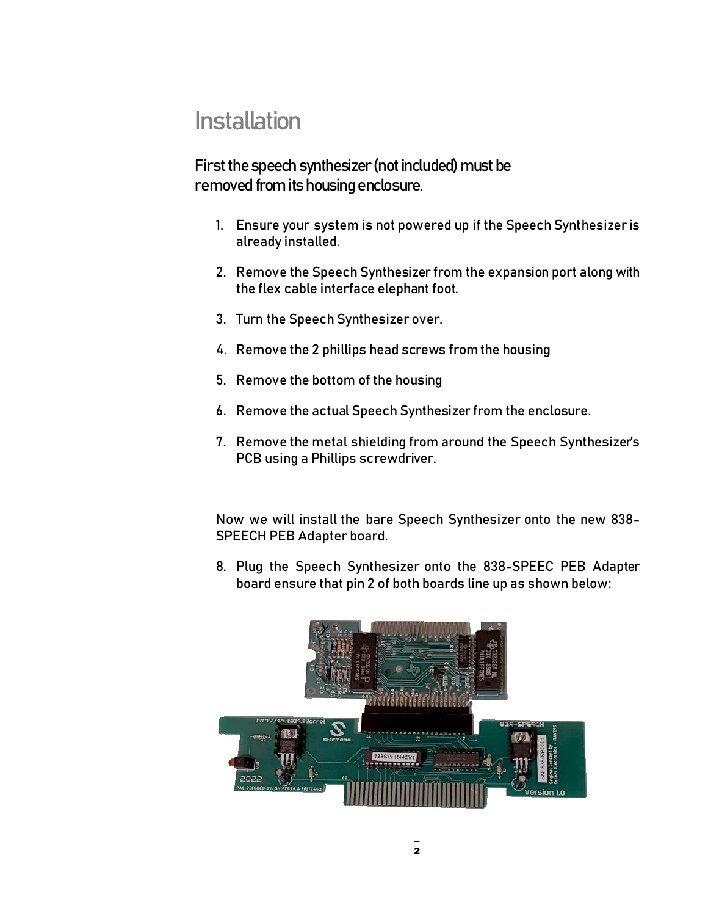### <span id="page-3-0"></span>**Installation**

First the speech synthesizer (not included) must be removed from its housing enclosure.

- 1. Ensure your system is not powered up if the Speech Synthesizer is already installed.
- 2. Remove the Speech Synthesizer from the expansion port along with the flex cable interface elephant foot.
- 3. Turn the Speech Synthesizer over.
- 4. Remove the 2 phillips head screws from the housing
- 5. Remove the bottom of the housing
- 6. Remove the actual Speech Synthesizer from the enclosure.
- 7. Remove the metal shielding from around the Speech Synthesizer's PCB using a Phillips screwdriver.

Now we will install the bare Speech Synthesizer onto the new 838- SPEECH PEB Adapter board.

8. Plug the Speech Synthesizer onto the 838-SPEEC PEB Adapter board ensure that pin 2 of both boards line up as shown below: